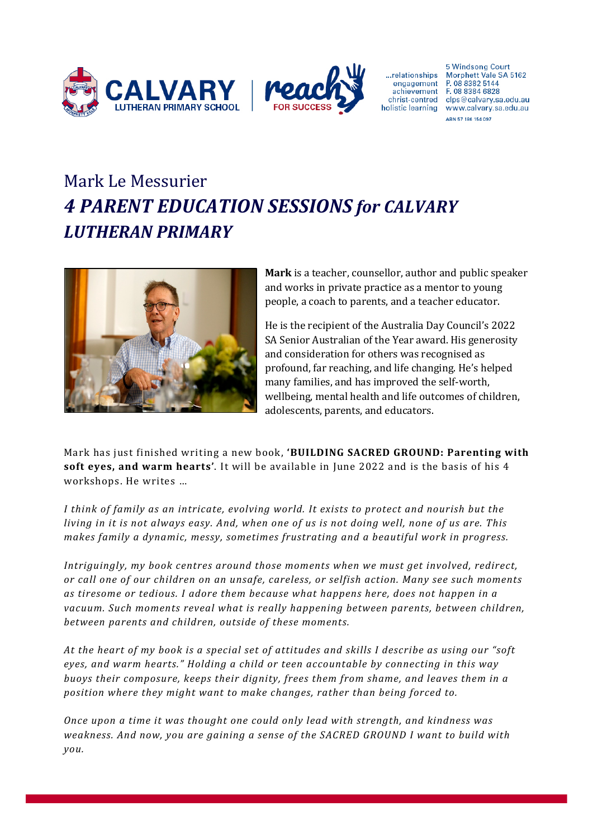



...relationships engagement

**5 Windsong Court** Morphett Vale SA 5162 P. 08 8382 5144 achievement F. 08 8384 6828 christ-centred clps@calvary.sa.edu.au holistic learning www.calvary.sa.edu.au ARN 57 186 154 097

# Mark Le Messurier *4 PARENT EDUCATION SESSIONS for CALVARY LUTHERAN PRIMARY*



**Mark** is a teacher, counsellor, author and public speaker and works in private practice as a mentor to young people, a coach to parents, and a teacher educator.

He is the recipient of the Australia Day Council's 2022 SA Senior Australian of the Year award. His generosity and consideration for others was recognised as profound, far reaching, and life changing. He's helped many families, and has improved the self-worth, wellbeing, mental health and life outcomes of children, adolescents, parents, and educators.

Mark has just finished writing a new book, 'BUILDING SACRED GROUND: Parenting with **soft eves, and warm hearts'.** It will be available in June 2022 and is the basis of his 4 workshops. He writes ...

*I* think of family as an intricate, evolving world. It exists to protect and nourish but the *living* in it is not always easy. And, when one of us is not doing well, none of us are. This *makes family a dynamic, messy, sometimes frustrating and a beautiful work in progress.* 

*Intriguingly, my book centres around those moments when we must get involved, redirect,* or call one of our children on an unsafe, careless, or selfish action. Many see such moments as tiresome or tedious. I adore them because what happens here, does not happen in a vacuum. Such moments reveal what is really happening between parents, between children, between parents and children, outside of these moments.

At the heart of my book is a special set of attitudes and skills I describe as using our "soft eyes, and warm hearts." Holding a child or teen accountable by connecting in this way *buoys* their composure, keeps their dignity, frees them from shame, and leaves them in a *position* where they might want to make changes, rather than being forced to.

*Once upon a time it was thought one could only lead with strength, and kindness was weakness.* And now, you are gaining a sense of the SACRED GROUND I want to build with *you.*